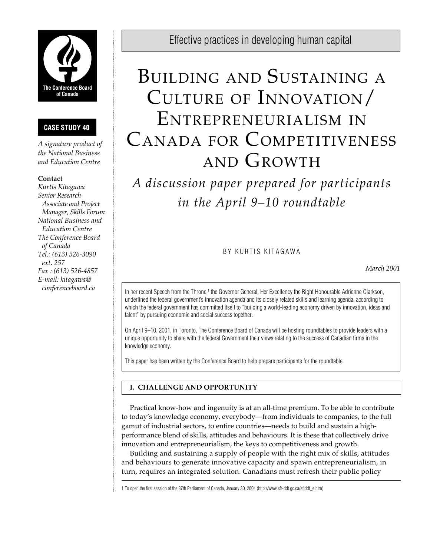

# **CASE STUDY 40**

*A signature product of the National Business and Education Centre*

## **Contact**

*Kurtis Kitagawa Senior Research Associate and Project Manager, Skills Forum National Business and Education Centre The Conference Board of Canada Tel.: (613) 526-3090 ext. 257 Fax : (613) 526-4857 E-mail: kitagawa@ conferenceboard.ca*

Effective practices in developing human capital

# BUILDING AND SUSTAINING A CULTURE OF INNOVATION/ ENTREPRENEURIALISM IN CANADA FOR COMPETITIVENESS AND GROWTH

*A discussion paper prepared for participants in the April 9–10 roundtable*

## BY KURTIS KITAGAWA

*March 2001*

In her recent Speech from the Throne,<sup>1</sup> the Governor General, Her Excellency the Right Honourable Adrienne Clarkson, underlined the federal government's innovation agenda and its closely related skills and learning agenda, according to which the federal government has committed itself to "building a world-leading economy driven by innovation, ideas and talent" by pursuing economic and social success together.

On April 9–10, 2001, in Toronto, The Conference Board of Canada will be hosting roundtables to provide leaders with a unique opportunity to share with the federal Government their views relating to the success of Canadian firms in the knowledge economy.

This paper has been written by the Conference Board to help prepare participants for the roundtable.

## **I. CHALLENGE AND OPPORTUNITY**

Practical know-how and ingenuity is at an all-time premium. To be able to contribute to today's knowledge economy, everybody—from individuals to companies, to the full gamut of industrial sectors, to entire countries—needs to build and sustain a highperformance blend of skills, attitudes and behaviours. It is these that collectively drive innovation and entrepreneurialism, the keys to competitiveness and growth.

Building and sustaining a supply of people with the right mix of skills, attitudes and behaviours to generate innovative capacity and spawn entrepreneurialism, in turn, requires an integrated solution. Canadians must refresh their public policy

1 To open the first session of the 37th Parliament of Canada, January 30, 2001 (http://www.sft-ddt.gc.ca/sftddt\_e.htm)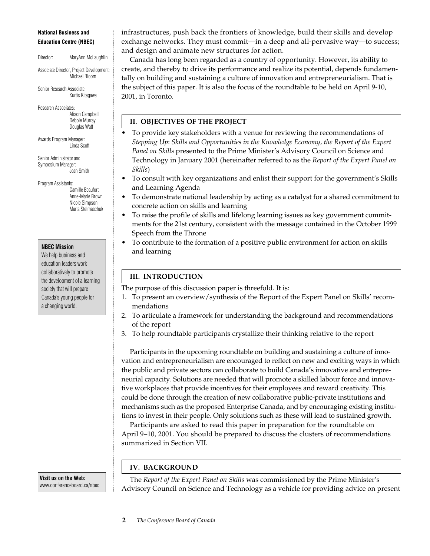#### **National Business and Education Centre (NBEC)**

Director: MaryAnn McLaughlin

Associate Director, Project Development: Michael Bloom

Senior Research Associate: Kurtis Kitagawa

Research Associates: Alison Campbell Debbie Murray Douglas Watt

Awards Program Manager: Linda Scott

Senior Administrator and Symposium Manager: Jean Smith

Program Assistants: Camille Beaufort Anne-Marie Brown Nicole Simpson Marta Stelmaschuk

#### **NBEC Mission**

We help business and education leaders work collaboratively to promote the development of a learning society that will prepare Canada's young people for a changing world.

**Visit us on the Web:** www.conferenceboard.ca/nbec infrastructures, push back the frontiers of knowledge, build their skills and develop exchange networks. They must commit—in a deep and all-pervasive way—to success; and design and animate new structures for action.

Canada has long been regarded as a country of opportunity. However, its ability to create, and thereby to drive its performance and realize its potential, depends fundamentally on building and sustaining a culture of innovation and entrepreneurialism. That is the subject of this paper. It is also the focus of the roundtable to be held on April 9-10, 2001, in Toronto.

## **II. OBJECTIVES OF THE PROJECT**

- To provide key stakeholders with a venue for reviewing the recommendations of *Stepping Up*: *Skills and Opportunities in the Knowledge Economy, the Report of the Expert Panel on Skills* presented to the Prime Minister's Advisory Council on Science and Technology in January 2001 (hereinafter referred to as the *Report of the Expert Panel on Skills*)
- To consult with key organizations and enlist their support for the government's Skills and Learning Agenda
- To demonstrate national leadership by acting as a catalyst for a shared commitment to concrete action on skills and learning
- To raise the profile of skills and lifelong learning issues as key government commitments for the 21st century, consistent with the message contained in the October 1999 Speech from the Throne
- To contribute to the formation of a positive public environment for action on skills and learning

## **III. INTRODUCTION**

- The purpose of this discussion paper is threefold. It is:
- 1. To present an overview/synthesis of the Report of the Expert Panel on Skills' recommendations
- 2. To articulate a framework for understanding the background and recommendations of the report
- 3. To help roundtable participants crystallize their thinking relative to the report

Participants in the upcoming roundtable on building and sustaining a culture of innovation and entrepreneurialism are encouraged to reflect on new and exciting ways in which the public and private sectors can collaborate to build Canada's innovative and entrepreneurial capacity. Solutions are needed that will promote a skilled labour force and innovative workplaces that provide incentives for their employees and reward creativity. This could be done through the creation of new collaborative public-private institutions and mechanisms such as the proposed Enterprise Canada, and by encouraging existing institutions to invest in their people. Only solutions such as these will lead to sustained growth.

Participants are asked to read this paper in preparation for the roundtable on April 9–10, 2001. You should be prepared to discuss the clusters of recommendations summarized in Section VII.

## **IV. BACKGROUND**

The *Report of the Expert Panel on Skills* was commissioned by the Prime Minister's Advisory Council on Science and Technology as a vehicle for providing advice on present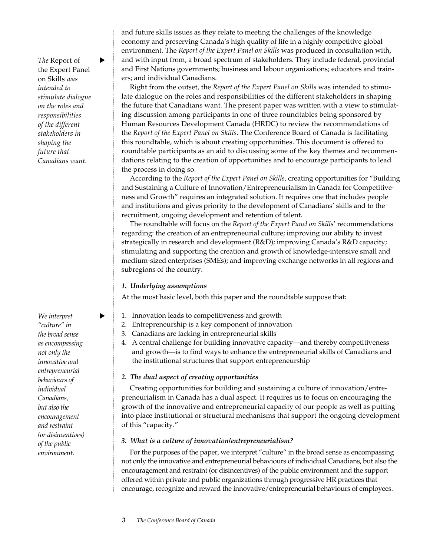*The* Report of ► the Expert Panel on Skills *was intended to stimulate dialogue on the roles and responsibilities of the different stakeholders in shaping the future that Canadians want.*

 $We$  *interpret "culture" in the broad sense as encompassing not only the innovative and entrepreneurial behaviours of individual Canadians, but also the encouragement and restraint (or disincentives) of the public environment.*

and future skills issues as they relate to meeting the challenges of the knowledge economy and preserving Canada's high quality of life in a highly competitive global environment. The *Report of the Expert Panel on Skills* was produced in consultation with, and with input from, a broad spectrum of stakeholders. They include federal, provincial and First Nations governments; business and labour organizations; educators and trainers; and individual Canadians.

Right from the outset, the *Report of the Expert Panel on Skills* was intended to stimulate dialogue on the roles and responsibilities of the different stakeholders in shaping the future that Canadians want. The present paper was written with a view to stimulating discussion among participants in one of three roundtables being sponsored by Human Resources Development Canada (HRDC) to review the recommendations of the *Report of the Expert Panel on Skills*. The Conference Board of Canada is facilitating this roundtable, which is about creating opportunities. This document is offered to roundtable participants as an aid to discussing some of the key themes and recommendations relating to the creation of opportunities and to encourage participants to lead the process in doing so.

According to the *Report of the Expert Panel on Skills*, creating opportunities for "Building and Sustaining a Culture of Innovation/Entrepreneurialism in Canada for Competitiveness and Growth" requires an integrated solution. It requires one that includes people and institutions and gives priority to the development of Canadians' skills and to the recruitment, ongoing development and retention of talent.

The roundtable will focus on the *Report of the Expert Panel on Skills*' recommendations regarding: the creation of an entrepreneurial culture; improving our ability to invest strategically in research and development (R&D); improving Canada's R&D capacity; stimulating and supporting the creation and growth of knowledge-intensive small and medium-sized enterprises (SMEs); and improving exchange networks in all regions and subregions of the country.

## *1. Underlying assumptions*

At the most basic level, both this paper and the roundtable suppose that:

- 1. Innovation leads to competitiveness and growth
- 2. Entrepreneurship is a key component of innovation
- 3. Canadians are lacking in entrepreneurial skills
- 4. A central challenge for building innovative capacity—and thereby competitiveness and growth—is to find ways to enhance the entrepreneurial skills of Canadians and the institutional structures that support entrepreneurship

## *2. The dual aspect of creating opportunities*

Creating opportunities for building and sustaining a culture of innovation/entrepreneurialism in Canada has a dual aspect. It requires us to focus on encouraging the growth of the innovative and entrepreneurial capacity of our people as well as putting into place institutional or structural mechanisms that support the ongoing development of this "capacity."

## *3. What is a culture of innovation/entrepreneurialism?*

For the purposes of the paper, we interpret "culture" in the broad sense as encompassing not only the innovative and entrepreneurial behaviours of individual Canadians, but also the encouragement and restraint (or disincentives) of the public environment and the support offered within private and public organizations through progressive HR practices that encourage, recognize and reward the innovative/entrepreneurial behaviours of employees.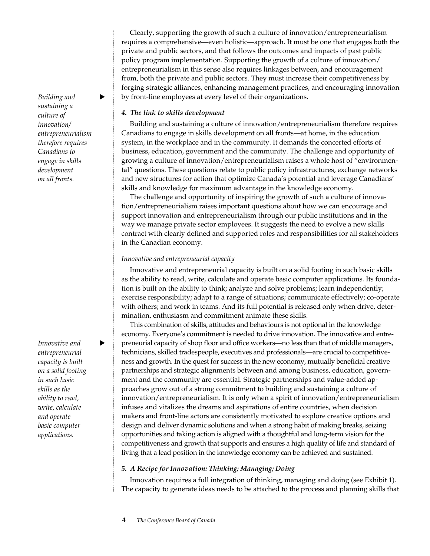Clearly, supporting the growth of such a culture of innovation/entrepreneurialism requires a comprehensive—even holistic—approach. It must be one that engages both the private and public sectors, and that follows the outcomes and impacts of past public policy program implementation. Supporting the growth of a culture of innovation/ entrepreneurialism in this sense also requires linkages between, and encouragement from, both the private and public sectors. They must increase their competitiveness by forging strategic alliances, enhancing management practices, and encouraging innovation by front-line employees at every level of their organizations.

#### *4. The link to skills development*

Building and sustaining a culture of innovation/entrepreneurialism therefore requires Canadians to engage in skills development on all fronts—at home, in the education system, in the workplace and in the community. It demands the concerted efforts of business, education, government and the community. The challenge and opportunity of growing a culture of innovation/entrepreneurialism raises a whole host of "environmental" questions. These questions relate to public policy infrastructures, exchange networks and new structures for action that optimize Canada's potential and leverage Canadians' skills and knowledge for maximum advantage in the knowledge economy.

The challenge and opportunity of inspiring the growth of such a culture of innovation/entrepreneurialism raises important questions about how we can encourage and support innovation and entrepreneurialism through our public institutions and in the way we manage private sector employees. It suggests the need to evolve a new skills contract with clearly defined and supported roles and responsibilities for all stakeholders in the Canadian economy.

#### *Innovative and entrepreneurial capacity*

Innovative and entrepreneurial capacity is built on a solid footing in such basic skills as the ability to read, write, calculate and operate basic computer applications. Its foundation is built on the ability to think; analyze and solve problems; learn independently; exercise responsibility; adapt to a range of situations; communicate effectively; co-operate with others; and work in teams. And its full potential is released only when drive, determination, enthusiasm and commitment animate these skills.

This combination of skills, attitudes and behaviours is not optional in the knowledge economy. Everyone's commitment is needed to drive innovation. The innovative and entrepreneurial capacity of shop floor and office workers—no less than that of middle managers, technicians, skilled tradespeople, executives and professionals—are crucial to competitiveness and growth. In the quest for success in the new economy, mutually beneficial creative partnerships and strategic alignments between and among business, education, government and the community are essential. Strategic partnerships and value-added approaches grow out of a strong commitment to building and sustaining a culture of innovation/entrepreneurialism. It is only when a spirit of innovation/entrepreneurialism infuses and vitalizes the dreams and aspirations of entire countries, when decision makers and front-line actors are consistently motivated to explore creative options and design and deliver dynamic solutions and when a strong habit of making breaks, seizing opportunities and taking action is aligned with a thoughtful and long-term vision for the competitiveness and growth that supports and ensures a high quality of life and standard of living that a lead position in the knowledge economy can be achieved and sustained.

#### *5. A Recipe for Innovation: Thinking; Managing; Doing*

Innovation requires a full integration of thinking, managing and doing (see Exhibit 1). The capacity to generate ideas needs to be attached to the process and planning skills that

*Building and sustaining a culture of innovation/ entrepreneurialism therefore requires Canadians to engage in skills development on all fronts.*

*Innovative and entrepreneurial capacity is built on a solid footing in such basic skills as the ability to read, write, calculate and operate basic computer applications.*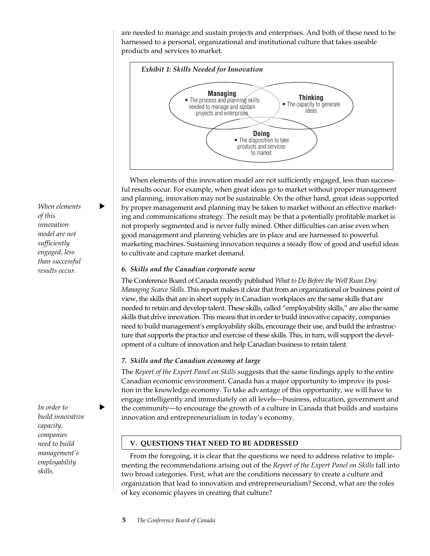are needed to manage and sustain projects and enterprises. And both of these need to be harnessed to a personal, organizational and institutional culture that takes useable products and services to market.



When elements of this innovation model are not sufficiently engaged, less than successful results occur. For example, when great ideas go to market without proper management and planning, innovation may not be sustainable. On the other hand, great ideas supported by proper management and planning may be taken to market without an effective marketing and communications strategy. The result may be that a potentially profitable market is not properly segmented and is never fully mined. Other difficulties can arise even when good management and planning vehicles are in place and are harnessed to powerful marketing machines. Sustaining innovation requires a steady flow of good and useful ideas to cultivate and capture market demand.

#### *6. Skills and the Canadian corporate scene*

The Conference Board of Canada recently published *What to Do Before the Well Runs Dry: Managing Scarce Skills*. This report makes it clear that from an organizational or business point of view, the skills that are in short supply in Canadian workplaces are the same skills that are needed to retain and develop talent. These skills, called "employability skills," are also the same skills that drive innovation. This means that in order to build innovative capacity, companies need to build management's employability skills, encourage their use, and build the infrastructure that supports the practice and exercise of these skills. This, in turn, will support the development of a culture of innovation and help Canadian business to retain talent.

## *7. Skills and the Canadian economy at large*

The *Report of the Expert Panel on Skills* suggests that the same findings apply to the entire Canadian economic environment. Canada has a major opportunity to improve its position in the knowledge economy. To take advantage of this opportunity, we will have to engage intelligently and immediately on all levels—business, education, government and the community—to encourage the growth of a culture in Canada that builds and sustains innovation and entrepreneurialism in today's economy.

## **V. QUESTIONS THAT NEED TO BE ADDRESSED**

From the foregoing, it is clear that the questions we need to address relative to implementing the recommendations arising out of the *Report of the Expert Panel on Skills* fall into two broad categories. First, what are the conditions necessary to create a culture and organization that lead to innovation and entrepreneurialism? Second, what are the roles of key economic players in creating that culture?

 $When$  elements  $\blacktriangleright$ *of this innovation model are not sufficiently engaged, less than successful results occur.*

*In order to build innovative capacity, companies need to build management's employability skills.*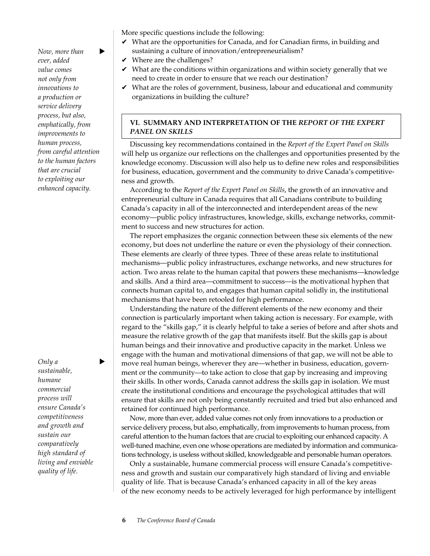*Now, more than ever, added value comes not only from innovations to a production or service delivery process, but also, emphatically, from improvements to human process, from careful attention to the human factors that are crucial to exploiting our enhanced capacity.*

## *Only a* ► *sustainable, humane commercial process will ensure Canada's competitiveness and growth and sustain our comparatively high standard of living and enviable quality of life.*

More specific questions include the following:

- $\vee$  What are the opportunities for Canada, and for Canadian firms, in building and sustaining a culture of innovation/entrepreneurialism?
- $\vee$  Where are the challenges?
- $\vee$  What are the conditions within organizations and within society generally that we need to create in order to ensure that we reach our destination?
- $\vee$  What are the roles of government, business, labour and educational and community organizations in building the culture?

## **VI. SUMMARY AND INTERPRETATION OF THE** *REPORT OF THE EXPERT PANEL ON SKILLS*

Discussing key recommendations contained in the *Report of the Expert Panel on Skills* will help us organize our reflections on the challenges and opportunities presented by the knowledge economy. Discussion will also help us to define new roles and responsibilities for business, education, government and the community to drive Canada's competitiveness and growth.

According to the *Report of the Expert Panel on Skills*, the growth of an innovative and entrepreneurial culture in Canada requires that all Canadians contribute to building Canada's capacity in all of the interconnected and interdependent areas of the new economy—public policy infrastructures, knowledge, skills, exchange networks, commitment to success and new structures for action.

The report emphasizes the organic connection between these six elements of the new economy, but does not underline the nature or even the physiology of their connection. These elements are clearly of three types. Three of these areas relate to institutional mechanisms—public policy infrastructures, exchange networks, and new structures for action. Two areas relate to the human capital that powers these mechanisms—knowledge and skills. And a third area—commitment to success—is the motivational hyphen that connects human capital to, and engages that human capital solidly in, the institutional mechanisms that have been retooled for high performance.

Understanding the nature of the different elements of the new economy and their connection is particularly important when taking action is necessary. For example, with regard to the "skills gap," it is clearly helpful to take a series of before and after shots and measure the relative growth of the gap that manifests itself. But the skills gap is about human beings and their innovative and productive capacity in the market. Unless we engage with the human and motivational dimensions of that gap, we will not be able to move real human beings, wherever they are—whether in business, education, government or the community—to take action to close that gap by increasing and improving their skills. In other words, Canada cannot address the skills gap in isolation. We must create the institutional conditions and encourage the psychological attitudes that will ensure that skills are not only being constantly recruited and tried but also enhanced and retained for continued high performance.

Now, more than ever, added value comes not only from innovations to a production or service delivery process, but also, emphatically, from improvements to human process, from careful attention to the human factors that are crucial to exploiting our enhanced capacity. A well-tuned machine, even one whose operations are mediated by information and communications technology, is useless without skilled, knowledgeable and personable human operators.

Only a sustainable, humane commercial process will ensure Canada's competitiveness and growth and sustain our comparatively high standard of living and enviable quality of life. That is because Canada's enhanced capacity in all of the key areas of the new economy needs to be actively leveraged for high performance by intelligent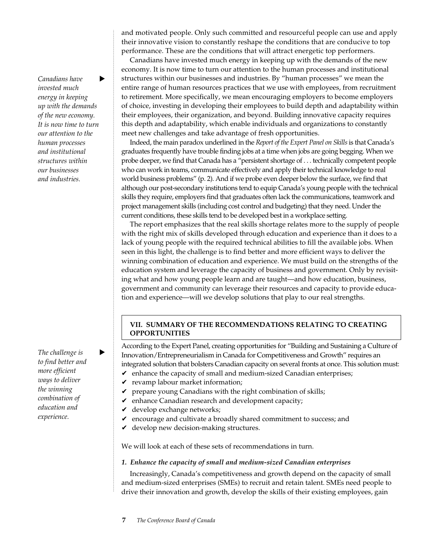*Canadians have* u *invested much energy in keeping up with the demands of the new economy. It is now time to turn our attention to the human processes and institutional structures within our businesses and industries.*

The challenge is  $\blacktriangleright$ *to find better and more efficient ways to deliver the winning combination of education and experience.*

and motivated people. Only such committed and resourceful people can use and apply their innovative vision to constantly reshape the conditions that are conducive to top performance. These are the conditions that will attract energetic top performers.

Canadians have invested much energy in keeping up with the demands of the new economy. It is now time to turn our attention to the human processes and institutional structures within our businesses and industries. By "human processes" we mean the entire range of human resources practices that we use with employees, from recruitment to retirement. More specifically, we mean encouraging employers to become employers of choice, investing in developing their employees to build depth and adaptability within their employees, their organization, and beyond. Building innovative capacity requires this depth and adaptability, which enable individuals and organizations to constantly meet new challenges and take advantage of fresh opportunities.

Indeed, the main paradox underlined in the *Report of the Expert Panel on Skills* is that Canada's graduates frequently have trouble finding jobs at a time when jobs are going begging. When we probe deeper, we find that Canada has a "persistent shortage of . . . technically competent people who can work in teams, communicate effectively and apply their technical knowledge to real world business problems" (p. 2). And if we probe even deeper below the surface, we find that although our post-secondary institutions tend to equip Canada's young people with the technical skills they require, employers find that graduates often lack the communications, teamwork and project management skills (including cost control and budgeting) that they need. Under the current conditions, these skills tend to be developed best in a workplace setting.

The report emphasizes that the real skills shortage relates more to the supply of people with the right mix of skills developed through education and experience than it does to a lack of young people with the required technical abilities to fill the available jobs. When seen in this light, the challenge is to find better and more efficient ways to deliver the winning combination of education and experience. We must build on the strengths of the education system and leverage the capacity of business and government. Only by revisiting what and how young people learn and are taught—and how education, business, government and community can leverage their resources and capacity to provide education and experience—will we develop solutions that play to our real strengths.

#### **VII. SUMMARY OF THE RECOMMENDATIONS RELATING TO CREATING OPPORTUNITIES**

According to the Expert Panel, creating opportunities for "Building and Sustaining a Culture of Innovation/Entrepreneurialism in Canada for Competitiveness and Growth" requires an integrated solution that bolsters Canadian capacity on several fronts at once. This solution must:  $\triangleright$  enhance the capacity of small and medium-sized Canadian enterprises;

- $\checkmark$  revamp labour market information;
- $\vee$  prepare young Canadians with the right combination of skills;
- $\mathcal V$  enhance Canadian research and development capacity;
- $\vee$  develop exchange networks;
- $\mathbf y$  encourage and cultivate a broadly shared commitment to success; and
- $\vee$  develop new decision-making structures.

We will look at each of these sets of recommendations in turn.

#### *1. Enhance the capacity of small and medium-sized Canadian enterprises*

Increasingly, Canada's competitiveness and growth depend on the capacity of small and medium-sized enterprises (SMEs) to recruit and retain talent. SMEs need people to drive their innovation and growth, develop the skills of their existing employees, gain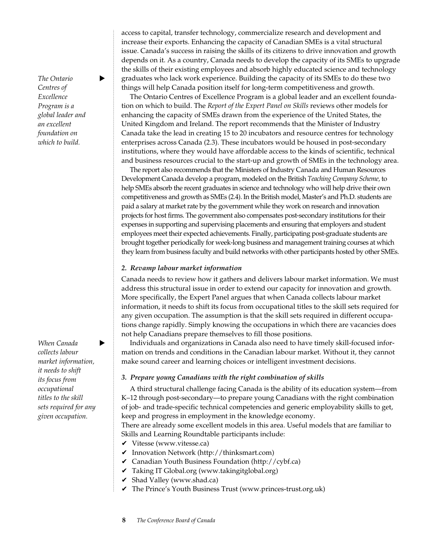**The Ontario** *Centres of Excellence Program is a global leader and an excellent foundation on which to build.*

**When Canada** *collects labour market information, it needs to shift its focus from occupational titles to the skill sets required for any given occupation.*

## access to capital, transfer technology, commercialize research and development and increase their exports. Enhancing the capacity of Canadian SMEs is a vital structural issue. Canada's success in raising the skills of its citizens to drive innovation and growth depends on it. As a country, Canada needs to develop the capacity of its SMEs to upgrade the skills of their existing employees and absorb highly educated science and technology graduates who lack work experience. Building the capacity of its SMEs to do these two things will help Canada position itself for long-term competitiveness and growth.

The Ontario Centres of Excellence Program is a global leader and an excellent foundation on which to build. The *Report of the Expert Panel on Skills* reviews other models for enhancing the capacity of SMEs drawn from the experience of the United States, the United Kingdom and Ireland. The report recommends that the Minister of Industry Canada take the lead in creating 15 to 20 incubators and resource centres for technology enterprises across Canada (2.3). These incubators would be housed in post-secondary institutions, where they would have affordable access to the kinds of scientific, technical and business resources crucial to the start-up and growth of SMEs in the technology area.

The report also recommends that the Ministers of Industry Canada and Human Resources Development Canada develop a program, modeled on the British *Teaching Company Scheme,* to help SMEs absorb the recent graduates in science and technology who will help drive their own competitiveness and growth as SMEs (2.4). In the British model, Master's and Ph.D. students are paid a salary at market rate by the government while they work on research and innovation projects for host firms. The government also compensates post-secondary institutions for their expenses in supporting and supervising placements and ensuring that employers and student employees meet their expected achievements. Finally, participating post-graduate students are brought together periodically for week-long business and management training courses at which they learn from business faculty and build networks with other participants hosted by other SMEs.

#### *2. Revamp labour market information*

Canada needs to review how it gathers and delivers labour market information. We must address this structural issue in order to extend our capacity for innovation and growth. More specifically, the Expert Panel argues that when Canada collects labour market information, it needs to shift its focus from occupational titles to the skill sets required for any given occupation. The assumption is that the skill sets required in different occupations change rapidly. Simply knowing the occupations in which there are vacancies does not help Canadians prepare themselves to fill those positions.

Individuals and organizations in Canada also need to have timely skill-focused information on trends and conditions in the Canadian labour market. Without it, they cannot make sound career and learning choices or intelligent investment decisions.

#### *3. Prepare young Canadians with the right combination of skills*

A third structural challenge facing Canada is the ability of its education system—from K–12 through post-secondary—to prepare young Canadians with the right combination of job- and trade-specific technical competencies and generic employability skills to get, keep and progress in employment in the knowledge economy.

There are already some excellent models in this area. Useful models that are familiar to Skills and Learning Roundtable participants include:

- $\checkmark$  Vitesse (www.vitesse.ca)
- $\checkmark$  Innovation Network (http://thinksmart.com)
- $\vee$  Canadian Youth Business Foundation (http://cybf.ca)
- ✔ Taking IT Global.org (www.takingitglobal.org)
- $\vee$  Shad Valley (www.shad.ca)
- $\vee$  The Prince's Youth Business Trust (www.princes-trust.org.uk)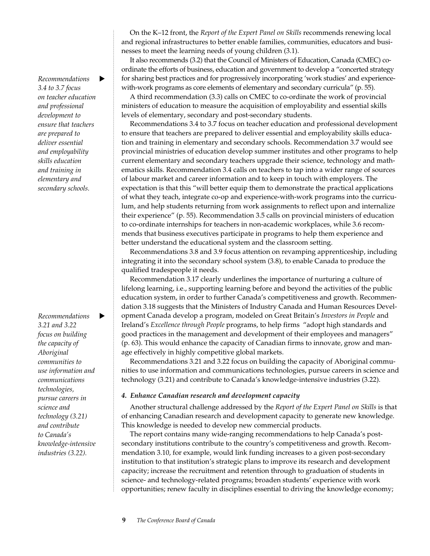$Recommendations$  **D** *3.4 to 3.7 focus on teacher education and professional development to ensure that teachers are prepared to deliver essential and employability skills education and training in elementary and secondary schools.*

 $Recommendations$   $\bullet$ *3.21 and 3.22 focus on building the capacity of Aboriginal communities to use information and communications technologies, pursue careers in science and technology (3.21) and contribute to Canada's knowledge-intensive industries (3.22).*

On the K–12 front, the *Report of the Expert Panel on Skills* recommends renewing local and regional infrastructures to better enable families, communities, educators and businesses to meet the learning needs of young children (3.1).

It also recommends (3.2) that the Council of Ministers of Education, Canada (CMEC) coordinate the efforts of business, education and government to develop a "concerted strategy for sharing best practices and for progressively incorporating 'work studies' and experiencewith-work programs as core elements of elementary and secondary curricula" (p. 55).

A third recommendation (3.3) calls on CMEC to co-ordinate the work of provincial ministers of education to measure the acquisition of employability and essential skills levels of elementary, secondary and post-secondary students.

Recommendations 3.4 to 3.7 focus on teacher education and professional development to ensure that teachers are prepared to deliver essential and employability skills education and training in elementary and secondary schools. Recommendation 3.7 would see provincial ministries of education develop summer institutes and other programs to help current elementary and secondary teachers upgrade their science, technology and mathematics skills. Recommendation 3.4 calls on teachers to tap into a wider range of sources of labour market and career information and to keep in touch with employers. The expectation is that this "will better equip them to demonstrate the practical applications of what they teach, integrate co-op and experience-with-work programs into the curriculum, and help students returning from work assignments to reflect upon and internalize their experience" (p. 55). Recommendation 3.5 calls on provincial ministers of education to co-ordinate internships for teachers in non-academic workplaces, while 3.6 recommends that business executives participate in programs to help them experience and better understand the educational system and the classroom setting.

Recommendations 3.8 and 3.9 focus attention on revamping apprenticeship, including integrating it into the secondary school system (3.8), to enable Canada to produce the qualified tradespeople it needs.

Recommendation 3.17 clearly underlines the importance of nurturing a culture of lifelong learning, i.e., supporting learning before and beyond the activities of the public education system, in order to further Canada's competitiveness and growth. Recommendation 3.18 suggests that the Ministers of Industry Canada and Human Resources Development Canada develop a program, modeled on Great Britain's *Investors in People* and Ireland's *Excellence through People* programs, to help firms "adopt high standards and good practices in the management and development of their employees and managers" (p. 63). This would enhance the capacity of Canadian firms to innovate, grow and manage effectively in highly competitive global markets.

Recommendations 3.21 and 3.22 focus on building the capacity of Aboriginal communities to use information and communications technologies, pursue careers in science and technology (3.21) and contribute to Canada's knowledge-intensive industries (3.22).

#### *4. Enhance Canadian research and development capacity*

Another structural challenge addressed by the *Report of the Expert Panel on Skills* is that of enhancing Canadian research and development capacity to generate new knowledge. This knowledge is needed to develop new commercial products.

The report contains many wide-ranging recommendations to help Canada's postsecondary institutions contribute to the country's competitiveness and growth. Recommendation 3.10, for example, would link funding increases to a given post-secondary institution to that institution's strategic plans to improve its research and development capacity; increase the recruitment and retention through to graduation of students in science- and technology-related programs; broaden students' experience with work opportunities; renew faculty in disciplines essential to driving the knowledge economy;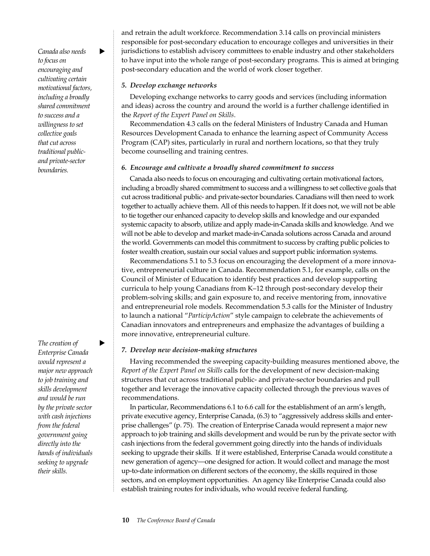Canada also needs  $\rightarrow$ *to focus on encouraging and cultivating certain motivational factors, including a broadly shared commitment to success and a willingness to set collective goals that cut across traditional publicand private-sector boundaries.*

 $The creation of$ *Enterprise Canada would represent a major new approach to job training and skills development and would be run by the private sector with cash injections from the federal government going directly into the hands of individuals seeking to upgrade their skills.*

and retrain the adult workforce. Recommendation 3.14 calls on provincial ministers responsible for post-secondary education to encourage colleges and universities in their jurisdictions to establish advisory committees to enable industry and other stakeholders to have input into the whole range of post-secondary programs. This is aimed at bringing post-secondary education and the world of work closer together.

#### *5. Develop exchange networks*

Developing exchange networks to carry goods and services (including information and ideas) across the country and around the world is a further challenge identified in the *Report of the Expert Panel on Skills*.

Recommendation 4.3 calls on the federal Ministers of Industry Canada and Human Resources Development Canada to enhance the learning aspect of Community Access Program (CAP) sites, particularly in rural and northern locations, so that they truly become counselling and training centres.

#### *6. Encourage and cultivate a broadly shared commitment to success*

Canada also needs to focus on encouraging and cultivating certain motivational factors, including a broadly shared commitment to success and a willingness to set collective goals that cut across traditional public- and private-sector boundaries. Canadians will then need to work together to actually achieve them. All of this needs to happen. If it does not, we will not be able to tie together our enhanced capacity to develop skills and knowledge and our expanded systemic capacity to absorb, utilize and apply made-in-Canada skills and knowledge. And we will not be able to develop and market made-in-Canada solutions across Canada and around the world. Governments can model this commitment to success by crafting public policies to foster wealth creation, sustain our social values and support public information systems.

Recommendations 5.1 to 5.3 focus on encouraging the development of a more innovative, entrepreneurial culture in Canada. Recommendation 5.1, for example, calls on the Council of Minister of Education to identify best practices and develop supporting curricula to help young Canadians from K–12 through post-secondary develop their problem-solving skills; and gain exposure to, and receive mentoring from, innovative and entrepreneurial role models. Recommendation 5.3 calls for the Minister of Industry to launch a national "*ParticipAction*" style campaign to celebrate the achievements of Canadian innovators and entrepreneurs and emphasize the advantages of building a more innovative, entrepreneurial culture.

#### *7. Develop new decision-making structures*

Having recommended the sweeping capacity-building measures mentioned above, the *Report of the Expert Panel on Skills* calls for the development of new decision-making structures that cut across traditional public- and private-sector boundaries and pull together and leverage the innovative capacity collected through the previous waves of recommendations.

In particular, Recommendations 6.1 to 6.6 call for the establishment of an arm's length, private executive agency, Enterprise Canada, (6.3) to "aggressively address skills and enterprise challenges" (p. 75). The creation of Enterprise Canada would represent a major new approach to job training and skills development and would be run by the private sector with cash injections from the federal government going directly into the hands of individuals seeking to upgrade their skills. If it were established, Enterprise Canada would constitute a new generation of agency—one designed for action. It would collect and manage the most up-to-date information on different sectors of the economy, the skills required in those sectors, and on employment opportunities. An agency like Enterprise Canada could also establish training routes for individuals, who would receive federal funding.